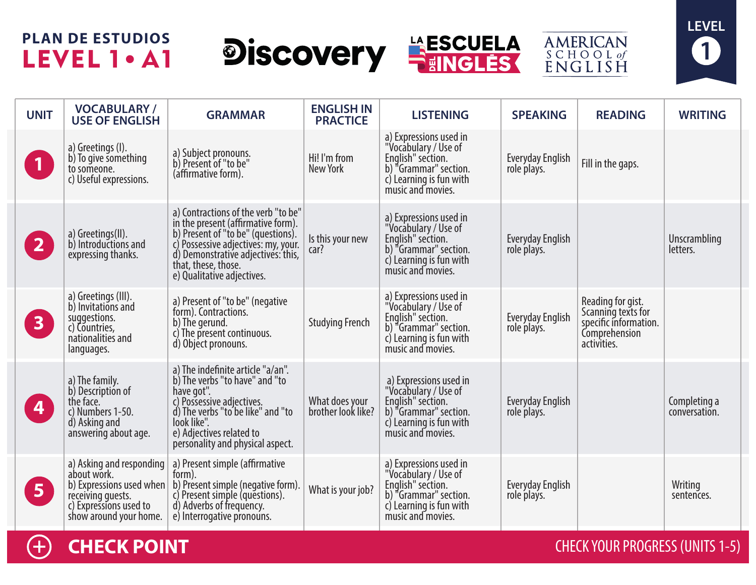# **PLAN DE ESTUDIOS** LEVEL 1 . A1









| <b>UNIT</b>             | <b>VOCABULARY/</b><br><b>USE OF ENGLISH</b>                                                                                                  | <b>GRAMMAR</b>                                                                                                                                                                                                                                    | <b>ENGLISH IN</b><br><b>PRACTICE</b> | <b>LISTENING</b>                                                                                                                             | <b>SPEAKING</b>                        | <b>READING</b>                                                                                   | <b>WRITING</b>                |
|-------------------------|----------------------------------------------------------------------------------------------------------------------------------------------|---------------------------------------------------------------------------------------------------------------------------------------------------------------------------------------------------------------------------------------------------|--------------------------------------|----------------------------------------------------------------------------------------------------------------------------------------------|----------------------------------------|--------------------------------------------------------------------------------------------------|-------------------------------|
| $\vert$ 1               | a) Greetings (I).<br>b) To give something<br>to someone.<br>c) Useful expressions.                                                           | a) Subject pronouns.<br>b) Present of "to be"<br>(affirmative form).                                                                                                                                                                              | Hi! I'm from<br>New York             | a) Expressions used in<br>"Vocabulary / Use of<br>English" section.<br>b) "Grammar" section.<br>c) Learning is fun with<br>music and movies. | <b>Everyday English</b><br>role plays. | Fill in the gaps.                                                                                |                               |
| $\overline{2}$          | a) Greetings(II).<br>b) Introductions and<br>expressing thanks.                                                                              | a) Contractions of the verb "to be"<br>in the present (affirmative form).<br>b) Present of "to be" (questions).<br>c) Possessive adjectives: my, your.<br>d) Demonstrative adjectives: this,<br>that, these, those.<br>e) Qualitative adjectives. | Is this your new<br>car?             | a) Expressions used in<br>"Vocabulary / Use of<br>English" section.<br>b) "Grammar" section.<br>c) Learning is fun with<br>music and movies. | <b>Everyday English</b><br>role plays. |                                                                                                  | Unscrambling<br>letters.      |
| 3 <sup>°</sup>          | a) Greetings (III).<br>b) Invitations and<br>suggestions.<br>c) Countries,<br>nationalities and<br>languages.                                | a) Present of "to be" (negative<br>form). Contractions.<br>b) The gerund.<br>c) The present continuous.<br>d) Object pronouns.                                                                                                                    | <b>Studying French</b>               | a) Expressions used in<br>"Vocabulary / Use of<br>English" section.<br>b) "Grammar" section.<br>c) Learning is fun with<br>music and movies. | <b>Everyday English</b><br>role plays. | Reading for gist.<br>Scanning texts for<br>specific information.<br>Comprehension<br>activities. |                               |
| $\overline{\mathbf{4}}$ | a) The family.<br>b) Description of<br>the face.<br>c) Numbers 1-50.<br>d) Asking and<br>answering about age.                                | a) The indefinite article "a/an".<br>b) The verbs "to have" and "to<br>have got".<br>c) Possessive adjectives.<br>d) The verbs "to be like" and "to<br>look like".<br>e) Adjectives related to<br>personality and physical aspect.                | What does your<br>brother look like? | a) Expressions used in<br>"Vocabulary / Use of<br>English" section.<br>b) "Grammar" section.<br>c) Learning is fun with<br>music and movies. | <b>Everyday English</b><br>role plays. |                                                                                                  | Completing a<br>conversation. |
| 5 <sub>1</sub>          | a) Asking and responding<br>about work.<br>b) Expressions used when<br>receiving guests.<br>c) Expressions used to<br>show around your home. | a) Present simple (affirmative<br>form).<br>b) Present simple (negative form).<br>c) Present simple (questions).<br>d) Adverbs of frequency.<br>e) Interrogative pronouns.                                                                        | What is your job?                    | a) Expressions used in<br>"Vocabulary / Use of<br>English" section.<br>b) "Grammar" section.<br>c) Learning is fun with<br>music and movies. | Everyday English<br>role plays.        |                                                                                                  | Writing<br>sentences.         |

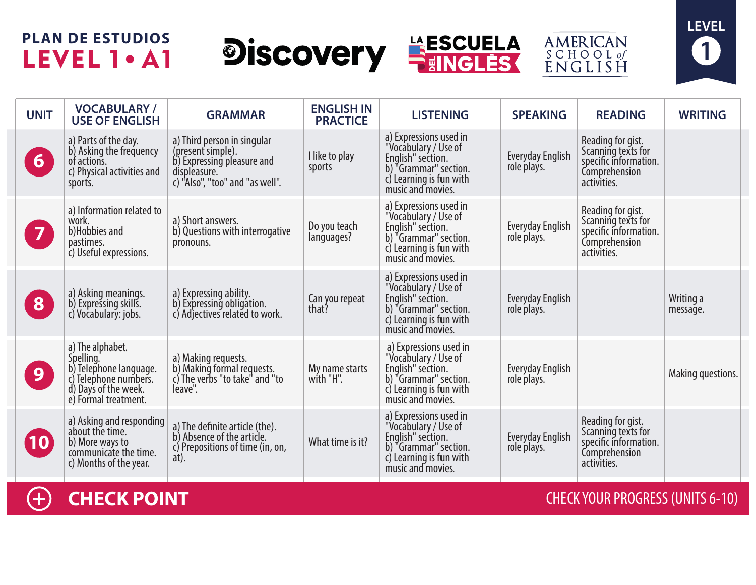# **PLAN DE ESTUDIOS** LEVEL 1 . A1









| <b>UNIT</b>             | <b>VOCABULARY/</b><br><b>USE OF ENGLISH</b>                                                                                      | <b>GRAMMAR</b>                                                                                                                    | <b>ENGLISH IN</b><br><b>PRACTICE</b> | <b>LISTENING</b>                                                                                                                                           | <b>SPEAKING</b>                        | <b>READING</b>                                                                                   | <b>WRITING</b>        |
|-------------------------|----------------------------------------------------------------------------------------------------------------------------------|-----------------------------------------------------------------------------------------------------------------------------------|--------------------------------------|------------------------------------------------------------------------------------------------------------------------------------------------------------|----------------------------------------|--------------------------------------------------------------------------------------------------|-----------------------|
| 6 <sup>1</sup>          | a) Parts of the day.<br>b) Asking the frequency<br>of actions.<br>c) Physical activities and<br>sports.                          | a) Third person in singular<br>(present simple).<br>b) Expressing pleasure and<br>displeasure.<br>c) "Also", "too" and "as well". | I like to play<br>sports             | a) Expressions used in<br>"Vocabulary / Use of<br>English" section.<br>b) "Grammar" section.<br>$\overline{c}$ ) Learning is fun with<br>music and movies. | <b>Everyday English</b><br>role plays. | Reading for gist.<br>Scanning texts for<br>specific information.<br>Comprehension<br>activities. |                       |
| $\overline{\mathbf{z}}$ | a) Information related to<br>work.<br>b)Hobbies and<br>pastimes.<br>c) Useful expressions.                                       | a) Short answers.<br>b) Questions with interrogative<br>pronouns.                                                                 | Do you teach<br>languages?           | a) Expressions used in<br>"Vocabulary / Use of<br>English" section.<br>b) "Grammar" section.<br>c) Learning is fun with<br>music and movies.               | Everyday English<br>role plays.        | Reading for gist.<br>Scanning texts for<br>specific information.<br>Comprehension<br>activities. |                       |
| 8                       | a) Asking meanings.<br>b) Expressing skills.<br>c) Vocabulary: jobs.                                                             | a) Expressing ability.<br>b) Expressing obligation.<br>c) Adjectives related to work.                                             | Can you repeat<br>that?              | a) Expressions used in<br>"Vocabulary / Use of<br>English" section.<br>b) "Grammar" section.<br>$\overline{c}$ ) Learning is fun with<br>music and movies. | Everyday English<br>role plays.        |                                                                                                  | Writing a<br>message. |
| 9                       | a) The alphabet.<br>Spelling.<br>b) Telephone language.<br>c) Telephone numbers.<br>d) Days of the week.<br>e) Formal treatment. | a) Making requests.<br>b) Making formal requests.<br>c) The verbs "to take" and "to<br>leave".                                    | My name starts<br>with "H".          | a) Expressions used in<br>"Vocabulary / Use of<br>English" section.<br>b) "Grammar" section.<br>c) Learning is fun with<br>music and movies.               | Everyday English<br>role plays.        |                                                                                                  | Making questions.     |
| (10)                    | a) Asking and responding<br>about the time.<br>b) More ways to<br>communicate the time.<br>c) Months of the year.                | a) The definite article (the).<br>b) Absence of the article.<br>c) Prepositions of time (in, on,<br>at).                          | What time is it?                     | a) Expressions used in<br>"Vocabulary / Use of<br>English" section.<br>b) "Grammar" section.<br>c) Learning is fun with<br>music and movies.               | <b>Everyday English</b><br>role plays. | Reading for gist.<br>Scanning texts for<br>specific information.<br>Comprehension<br>activities. |                       |

 $\bigoplus$ 

**CHECK POINT** CHECK YOUR PROGRESS (UNITS 6-10)